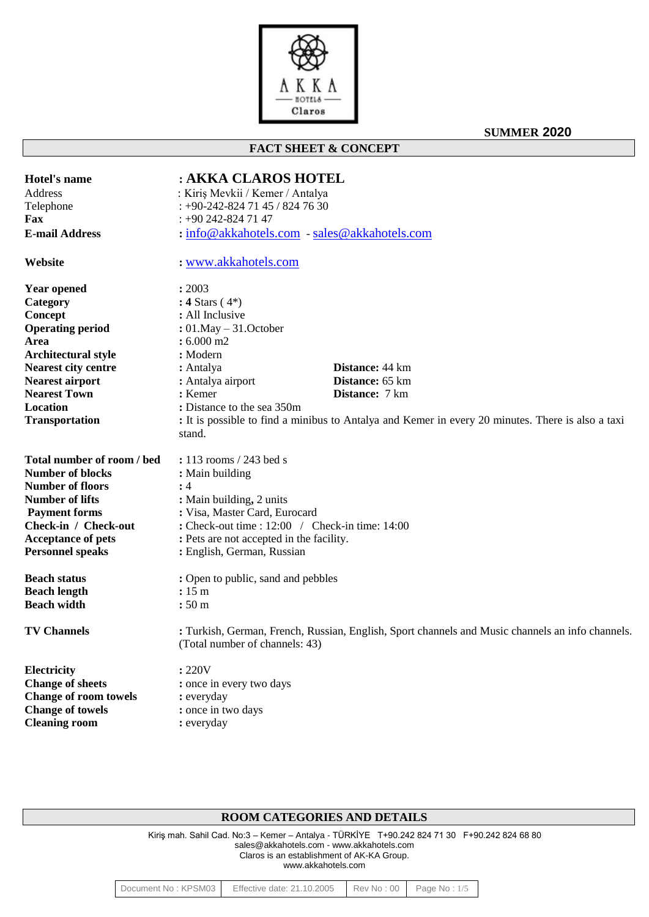

**FACT SHEET & CONCEPT**

**SUMMER 2020**

| <b>Hotel's name</b>          | : AKKA CLAROS HOTEL                                                                               |  |  |  |  |
|------------------------------|---------------------------------------------------------------------------------------------------|--|--|--|--|
| <b>Address</b>               | : Kiriş Mevkii / Kemer / Antalya                                                                  |  |  |  |  |
| Telephone                    | $: +90-242-8247145/8247630$                                                                       |  |  |  |  |
| Fax                          | $: +90242 - 8247147$                                                                              |  |  |  |  |
| <b>E-mail Address</b>        | : info@akkahotels.com - sales@akkahotels.com                                                      |  |  |  |  |
|                              |                                                                                                   |  |  |  |  |
| Website                      | : www.akkahotels.com                                                                              |  |  |  |  |
| <b>Year opened</b>           | : 2003                                                                                            |  |  |  |  |
| Category                     | : 4 Stars $(4^*)$                                                                                 |  |  |  |  |
| Concept                      | : All Inclusive                                                                                   |  |  |  |  |
| <b>Operating period</b>      | : $01$ . May $-31$ . October                                                                      |  |  |  |  |
| Area                         | $: 6.000$ m2                                                                                      |  |  |  |  |
| <b>Architectural style</b>   | : Modern                                                                                          |  |  |  |  |
| <b>Nearest city centre</b>   | <b>Distance:</b> 44 km<br>: Antalya                                                               |  |  |  |  |
| <b>Nearest airport</b>       | Distance: 65 km<br>: Antalya airport                                                              |  |  |  |  |
| <b>Nearest Town</b>          | : Kemer<br>Distance: 7 km                                                                         |  |  |  |  |
| Location                     | : Distance to the sea 350m                                                                        |  |  |  |  |
| <b>Transportation</b>        | : It is possible to find a minibus to Antalya and Kemer in every 20 minutes. There is also a taxi |  |  |  |  |
|                              | stand.                                                                                            |  |  |  |  |
| Total number of room / bed   | : 113 rooms / 243 bed s                                                                           |  |  |  |  |
| <b>Number of blocks</b>      | : Main building                                                                                   |  |  |  |  |
| <b>Number of floors</b>      | :4                                                                                                |  |  |  |  |
| <b>Number of lifts</b>       | : Main building, 2 units                                                                          |  |  |  |  |
| <b>Payment forms</b>         | : Visa, Master Card, Eurocard                                                                     |  |  |  |  |
| Check-in / Check-out         | : Check-out time : 12:00 / Check-in time: 14:00                                                   |  |  |  |  |
| <b>Acceptance of pets</b>    | : Pets are not accepted in the facility.                                                          |  |  |  |  |
| <b>Personnel speaks</b>      | : English, German, Russian                                                                        |  |  |  |  |
| <b>Beach status</b>          |                                                                                                   |  |  |  |  |
| <b>Beach length</b>          | : Open to public, sand and pebbles                                                                |  |  |  |  |
| <b>Beach width</b>           | : 15m<br>:50 <sub>m</sub>                                                                         |  |  |  |  |
|                              |                                                                                                   |  |  |  |  |
| <b>TV Channels</b>           | : Turkish, German, French, Russian, English, Sport channels and Music channels an info channels.  |  |  |  |  |
|                              | (Total number of channels: 43)                                                                    |  |  |  |  |
| Electricity                  | : 220V                                                                                            |  |  |  |  |
| <b>Change of sheets</b>      | : once in every two days                                                                          |  |  |  |  |
| <b>Change of room towels</b> | : everyday                                                                                        |  |  |  |  |
| <b>Change of towels</b>      | : once in two days                                                                                |  |  |  |  |
| <b>Cleaning room</b>         | : everyday                                                                                        |  |  |  |  |
|                              |                                                                                                   |  |  |  |  |

# **ROOM CATEGORIES AND DETAILS**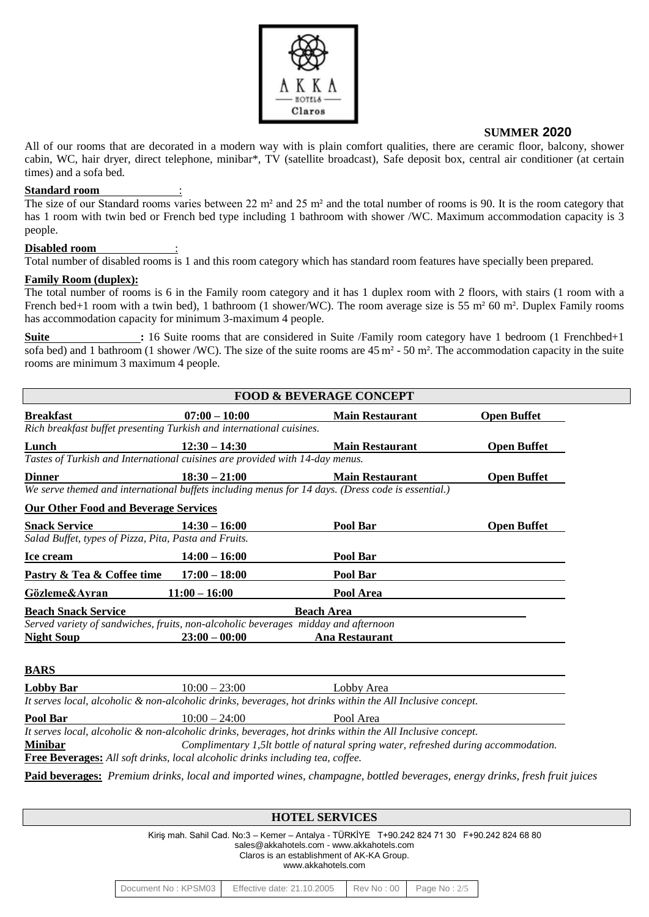

All of our rooms that are decorated in a modern way with is plain comfort qualities, there are ceramic floor, balcony, shower cabin, WC, hair dryer, direct telephone, minibar\*, TV (satellite broadcast), Safe deposit box, central air conditioner (at certain times) and a sofa bed.

#### **Standard room** :

The size of our Standard rooms varies between 22 m<sup>2</sup> and 25 m<sup>2</sup> and the total number of rooms is 90. It is the room category that has 1 room with twin bed or French bed type including 1 bathroom with shower /WC. Maximum accommodation capacity is 3 people.

#### Disabled room

Total number of disabled rooms is 1 and this room category which has standard room features have specially been prepared.

#### **Family Room (duplex):**

The total number of rooms is 6 in the Family room category and it has 1 duplex room with 2 floors, with stairs (1 room with a French bed+1 room with a twin bed), 1 bathroom (1 shower/WC). The room average size is 55 m<sup>2</sup> 60 m<sup>2</sup>. Duplex Family rooms has accommodation capacity for minimum 3-maximum 4 people.

**Suite** : 16 Suite rooms that are considered in Suite /Family room category have 1 bedroom (1 Frenchbed+1 sofa bed) and 1 bathroom (1 shower /WC). The size of the suite rooms are 45 m² - 50 m². The accommodation capacity in the suite rooms are minimum 3 maximum 4 people.

| $07:00 - 10:00$<br><b>Open Buffet</b><br><b>Main Restaurant</b><br>Rich breakfast buffet presenting Turkish and international cuisines.<br>$12:30 - 14:30$<br><b>Main Restaurant</b><br>Tastes of Turkish and International cuisines are provided with 14-day menus.<br>$18:30 - 21:00$<br><b>Main Restaurant</b><br>We serve themed and international buffets including menus for 14 days. (Dress code is essential.)<br><b>Our Other Food and Beverage Services</b><br>Pool Bar<br>$14:30 - 16:00$<br>Salad Buffet, types of Pizza, Pita, Pasta and Fruits.<br>Pool Bar<br>$14:00 - 16:00$<br>$17:00 - 18:00$<br>Pool Bar<br>$11:00 - 16:00$<br>Pool Area<br><b>Beach Area</b><br>Served variety of sandwiches, fruits, non-alcoholic beverages midday and afternoon<br>$23:00 - 00:00$<br><b>Ana Restaurant</b><br><b>Night Soup</b><br><b>BARS</b><br>$10:00 - 23:00$<br><b>Lobby Bar</b><br>Lobby Area<br>It serves local, alcoholic & non-alcoholic drinks, beverages, hot drinks within the All Inclusive concept. | <b>FOOD &amp; BEVERAGE CONCEPT</b> |                 |           |                    |  |  |  |
|---------------------------------------------------------------------------------------------------------------------------------------------------------------------------------------------------------------------------------------------------------------------------------------------------------------------------------------------------------------------------------------------------------------------------------------------------------------------------------------------------------------------------------------------------------------------------------------------------------------------------------------------------------------------------------------------------------------------------------------------------------------------------------------------------------------------------------------------------------------------------------------------------------------------------------------------------------------------------------------------------------------------------|------------------------------------|-----------------|-----------|--------------------|--|--|--|
|                                                                                                                                                                                                                                                                                                                                                                                                                                                                                                                                                                                                                                                                                                                                                                                                                                                                                                                                                                                                                           | <b>Breakfast</b>                   |                 |           |                    |  |  |  |
|                                                                                                                                                                                                                                                                                                                                                                                                                                                                                                                                                                                                                                                                                                                                                                                                                                                                                                                                                                                                                           |                                    |                 |           |                    |  |  |  |
|                                                                                                                                                                                                                                                                                                                                                                                                                                                                                                                                                                                                                                                                                                                                                                                                                                                                                                                                                                                                                           | Lunch                              |                 |           | <b>Open Buffet</b> |  |  |  |
|                                                                                                                                                                                                                                                                                                                                                                                                                                                                                                                                                                                                                                                                                                                                                                                                                                                                                                                                                                                                                           |                                    |                 |           |                    |  |  |  |
|                                                                                                                                                                                                                                                                                                                                                                                                                                                                                                                                                                                                                                                                                                                                                                                                                                                                                                                                                                                                                           | <b>Dinner</b>                      |                 |           | <b>Open Buffet</b> |  |  |  |
|                                                                                                                                                                                                                                                                                                                                                                                                                                                                                                                                                                                                                                                                                                                                                                                                                                                                                                                                                                                                                           |                                    |                 |           |                    |  |  |  |
|                                                                                                                                                                                                                                                                                                                                                                                                                                                                                                                                                                                                                                                                                                                                                                                                                                                                                                                                                                                                                           |                                    |                 |           |                    |  |  |  |
|                                                                                                                                                                                                                                                                                                                                                                                                                                                                                                                                                                                                                                                                                                                                                                                                                                                                                                                                                                                                                           | <b>Snack Service</b>               |                 |           | <b>Open Buffet</b> |  |  |  |
|                                                                                                                                                                                                                                                                                                                                                                                                                                                                                                                                                                                                                                                                                                                                                                                                                                                                                                                                                                                                                           |                                    |                 |           |                    |  |  |  |
|                                                                                                                                                                                                                                                                                                                                                                                                                                                                                                                                                                                                                                                                                                                                                                                                                                                                                                                                                                                                                           | Ice cream                          |                 |           |                    |  |  |  |
|                                                                                                                                                                                                                                                                                                                                                                                                                                                                                                                                                                                                                                                                                                                                                                                                                                                                                                                                                                                                                           | Pastry & Tea & Coffee time         |                 |           |                    |  |  |  |
|                                                                                                                                                                                                                                                                                                                                                                                                                                                                                                                                                                                                                                                                                                                                                                                                                                                                                                                                                                                                                           | Gözleme&Avran                      |                 |           |                    |  |  |  |
|                                                                                                                                                                                                                                                                                                                                                                                                                                                                                                                                                                                                                                                                                                                                                                                                                                                                                                                                                                                                                           | <b>Beach Snack Service</b>         |                 |           |                    |  |  |  |
|                                                                                                                                                                                                                                                                                                                                                                                                                                                                                                                                                                                                                                                                                                                                                                                                                                                                                                                                                                                                                           |                                    |                 |           |                    |  |  |  |
|                                                                                                                                                                                                                                                                                                                                                                                                                                                                                                                                                                                                                                                                                                                                                                                                                                                                                                                                                                                                                           |                                    |                 |           |                    |  |  |  |
|                                                                                                                                                                                                                                                                                                                                                                                                                                                                                                                                                                                                                                                                                                                                                                                                                                                                                                                                                                                                                           |                                    |                 |           |                    |  |  |  |
|                                                                                                                                                                                                                                                                                                                                                                                                                                                                                                                                                                                                                                                                                                                                                                                                                                                                                                                                                                                                                           |                                    |                 |           |                    |  |  |  |
|                                                                                                                                                                                                                                                                                                                                                                                                                                                                                                                                                                                                                                                                                                                                                                                                                                                                                                                                                                                                                           |                                    |                 |           |                    |  |  |  |
|                                                                                                                                                                                                                                                                                                                                                                                                                                                                                                                                                                                                                                                                                                                                                                                                                                                                                                                                                                                                                           | Pool Bar                           | $10:00 - 24:00$ | Pool Area |                    |  |  |  |
| It serves local, alcoholic & non-alcoholic drinks, beverages, hot drinks within the All Inclusive concept.<br>Complimentary 1,5lt bottle of natural spring water, refreshed during accommodation.<br>Free Beverages: All soft drinks, local alcoholic drinks including tea, coffee.                                                                                                                                                                                                                                                                                                                                                                                                                                                                                                                                                                                                                                                                                                                                       | <b>Minibar</b>                     |                 |           |                    |  |  |  |
| Paid beverages: Premium drinks, local and imported wines, champagne, bottled beverages, energy drinks, fresh fruit juices                                                                                                                                                                                                                                                                                                                                                                                                                                                                                                                                                                                                                                                                                                                                                                                                                                                                                                 |                                    |                 |           |                    |  |  |  |
|                                                                                                                                                                                                                                                                                                                                                                                                                                                                                                                                                                                                                                                                                                                                                                                                                                                                                                                                                                                                                           |                                    |                 |           |                    |  |  |  |
| <b>HOTEL SERVICES</b>                                                                                                                                                                                                                                                                                                                                                                                                                                                                                                                                                                                                                                                                                                                                                                                                                                                                                                                                                                                                     |                                    |                 |           |                    |  |  |  |

 Kiriş mah. Sahil Cad. No:3 – Kemer – Antalya - TÜRKİYE T+90.242 824 71 30 F+90.242 824 68 80 sales@akkahotels.com - www.akkahotels.com Claros is an establishment of AK-KA Group.

www.akkahotels.com

| Document No: KPSM03 | Effective date: $21.10.2005$ Rev No: 00 Page No: $2/5$ |  |  |
|---------------------|--------------------------------------------------------|--|--|
|---------------------|--------------------------------------------------------|--|--|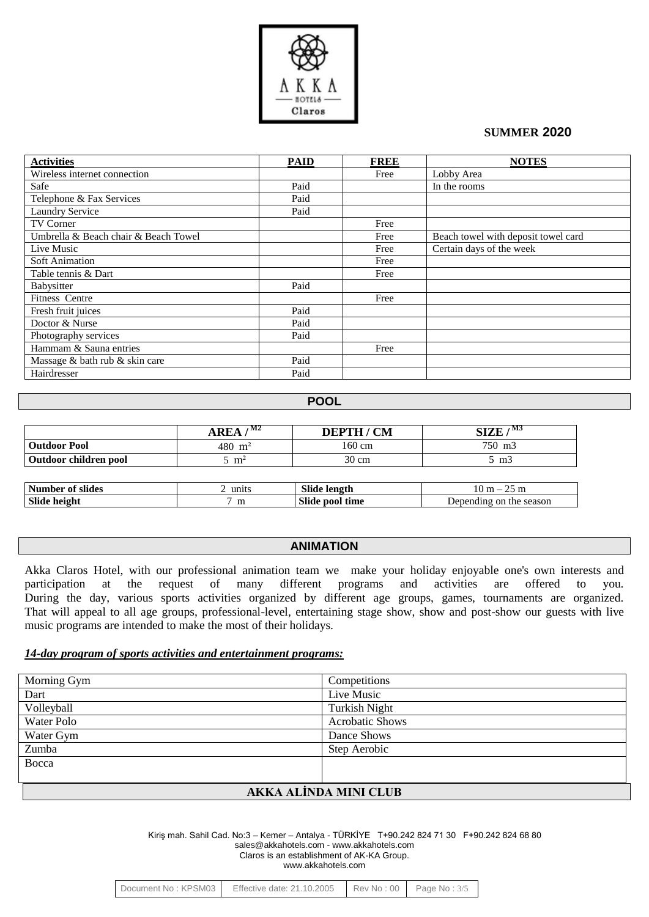

| <b>Activities</b>                    | <b>PAID</b> | <b>FREE</b> | <b>NOTES</b>                        |
|--------------------------------------|-------------|-------------|-------------------------------------|
| Wireless internet connection         |             | Free        | Lobby Area                          |
| Safe                                 | Paid        |             | In the rooms                        |
| Telephone & Fax Services             | Paid        |             |                                     |
| <b>Laundry Service</b>               | Paid        |             |                                     |
| <b>TV Corner</b>                     |             | Free        |                                     |
| Umbrella & Beach chair & Beach Towel |             | Free        | Beach towel with deposit towel card |
| Live Music                           |             | Free        | Certain days of the week            |
| Soft Animation                       |             | Free        |                                     |
| Table tennis & Dart                  |             | Free        |                                     |
| Babysitter                           | Paid        |             |                                     |
| Fitness Centre                       |             | Free        |                                     |
| Fresh fruit juices                   | Paid        |             |                                     |
| Doctor & Nurse                       | Paid        |             |                                     |
| Photography services                 | Paid        |             |                                     |
| Hammam & Sauna entries               |             | Free        |                                     |
| Massage & bath rub & skin care       | Paid        |             |                                     |
| Hairdresser                          | Paid        |             |                                     |

### **POOL**

|                         | , M2<br>AREA    | <b>DEPTH / CM</b> | $1$ M3<br><b>SIZE</b>   |  |
|-------------------------|-----------------|-------------------|-------------------------|--|
| <b>Outdoor Pool</b>     | 480 $m2$        | $160 \text{ cm}$  | 750 m3                  |  |
| Outdoor children pool   | $5 \text{ m}^2$ | 30 cm             | 5 m <sub>3</sub>        |  |
|                         |                 |                   |                         |  |
| <b>Number of slides</b> | 2 units         | Slide length      | $10 m - 25 m$           |  |
| Slide height            | m               | Slide pool time   | Depending on the season |  |

## **ANIMATION**

Akka Claros Hotel, with our professional animation team we make your holiday enjoyable one's own interests and participation at the request of many different programs and activities are offered to you. During the day, various sports activities organized by different age groups, games, tournaments are organized. That will appeal to all age groups, professional-level, entertaining stage show, show and post-show our guests with live music programs are intended to make the most of their holidays.

# *14-day program of sports activities and entertainment programs:*

| Morning Gym                 | Competitions           |  |  |  |
|-----------------------------|------------------------|--|--|--|
| Dart                        | Live Music             |  |  |  |
| Volleyball                  | <b>Turkish Night</b>   |  |  |  |
| <b>Water Polo</b>           | <b>Acrobatic Shows</b> |  |  |  |
| Water Gym                   | Dance Shows            |  |  |  |
| Zumba                       | Step Aerobic           |  |  |  |
| Bocca                       |                        |  |  |  |
|                             |                        |  |  |  |
| A K K A A I INDA MINI CI HR |                        |  |  |  |

### **AKKA ALİNDA MINI CLUB**

| Document No: KPSM03 | Effective date: $21.10.2005$ Rev No: 00 Page No: $3/5$ |  |  |
|---------------------|--------------------------------------------------------|--|--|
|---------------------|--------------------------------------------------------|--|--|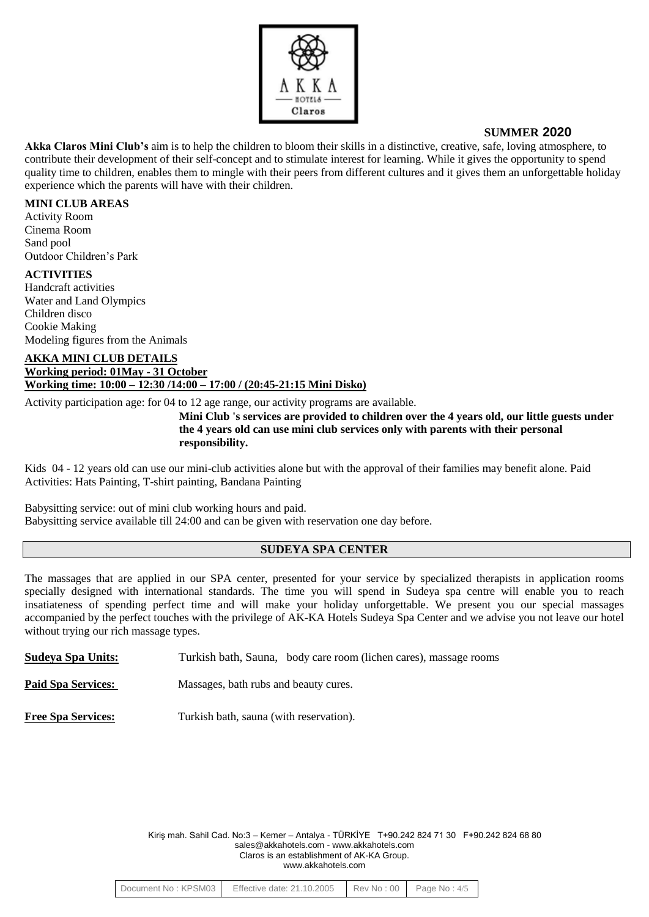

**Akka Claros Mini Club's** aim is to help the children to bloom their skills in a distinctive, creative, safe, loving atmosphere, to contribute their development of their self-concept and to stimulate interest for learning. While it gives the opportunity to spend quality time to children, enables them to mingle with their peers from different cultures and it gives them an unforgettable holiday experience which the parents will have with their children.

#### **MINI CLUB AREAS**

Activity Room Cinema Room Sand pool Outdoor Children's Park

#### **ACTIVITIES**

Handcraft activities Water and Land Olympics Children disco Cookie Making Modeling figures from the Animals

#### **AKKA MINI CLUB DETAILS Working period: 01May - 31 October Working time: 10:00 – 12:30 /14:00 – 17:00 / (20:45-21:15 Mini Disko)**

Activity participation age: for 04 to 12 age range, our activity programs are available.

**Mini Club 's services are provided to children over the 4 years old, our little guests under the 4 years old can use mini club services only with parents with their personal responsibility.** 

Kids 04 - 12 years old can use our mini-club activities alone but with the approval of their families may benefit alone. Paid Activities: Hats Painting, T-shirt painting, Bandana Painting

Babysitting service: out of mini club working hours and paid. Babysitting service available till 24:00 and can be given with reservation one day before.

### **SUDEYA SPA CENTER**

The massages that are applied in our SPA center, presented for your service by specialized therapists in application rooms specially designed with international standards. The time you will spend in Sudeya spa centre will enable you to reach insatiateness of spending perfect time and will make your holiday unforgettable. We present you our special massages accompanied by the perfect touches with the privilege of AK-KA Hotels Sudeya Spa Center and we advise you not leave our hotel without trying our rich massage types.

**Sudeya Spa Units:** Turkish bath, Sauna, body care room (lichen cares), massage rooms

**Paid Spa Services:** Massages, bath rubs and beauty cures.

**Free Spa Services:** Turkish bath, sauna (with reservation).